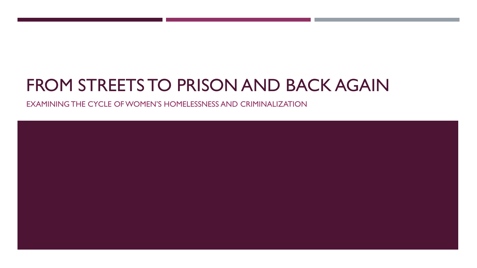# FROM STREETS TO PRISON AND BACK AGAIN

EXAMINING THE CYCLE OF WOMEN'S HOMELESSNESS AND CRIMINALIZATION

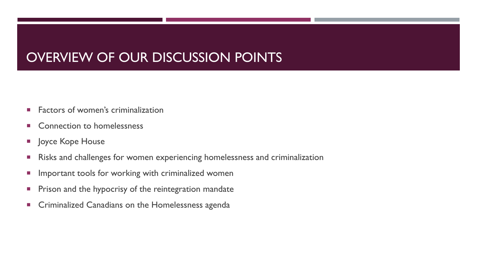## OVERVIEW OF OUR DISCUSSION POINTS

- **Factors of women's criminalization**
- **EX Connection to homelessness**
- **Joyce Kope House**
- **Risks and challenges for women experiencing homelessness and criminalization**
- **Important tools for working with criminalized women**
- **Prison and the hypocrisy of the reintegration mandate**
- **EXEC** Criminalized Canadians on the Homelessness agenda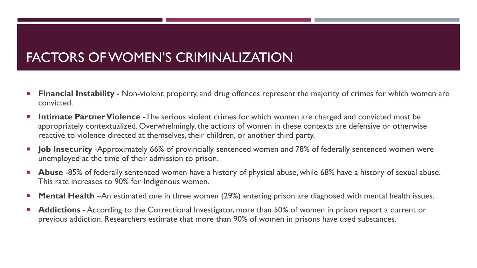### FACTORS OF WOMEN'S CRIMINALIZATION

- **Financial Instability**  Non-violent, property, and drug offences represent the majority of crimes for which women are convicted.
- **Intimate Partner Violence** The serious violent crimes for which women are charged and convicted must be appropriately contextualized. Overwhelmingly, the actions of women in these contexts are defensive or otherwise reactive to violence directed at themselves, their children, or another third party.
- **Job Insecurity** -Approximately 66% of provincially sentenced women and 78% of federally sentenced women were unemployed at the time of their admission to prison.
- **Abuse** -85% of federally sentenced women have a history of physical abuse, while 68% have a history of sexual abuse. This rate increases to 90% for Indigenous women.
- **Mental Health** –An estimated one in three women (29%) entering prison are diagnosed with mental health issues.
- **Addictions** According to the Correctional Investigator, more than 50% of women in prison report a current or previous addiction. Researchers estimate that more than 90% of women in prisons have used substances.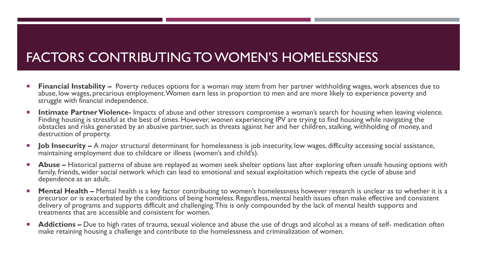## FACTORS CONTRIBUTING TO WOMEN'S HOMELESSNESS

- **Financial Instability –** Poverty reduces options for a woman may stem from her partner withholding wages, work absences due to abuse, low wages, precarious employment. Women earn less in proportion to men and are more likely to experience poverty and struggle with financial independence.
- **Intimate Partner Violence-** Impacts of abuse and other stressors compromise a woman's search for housing when leaving violence. Finding housing is stressful at the best of times. However, women experiencing IPV are trying to find housing while navigating the obstacles and risks generated by an abusive partner, such as threats against her and her children, stalking, withholding of money, and destruction of property.
- **Job Insecurity –** A major structural determinant for homelessness is job insecurity, low wages, difficulty accessing social assistance, maintaining employment due to childcare or illness (women's and child's).
- **Abuse –** Historical patterns of abuse are replayed as women seek shelter options last after exploring often unsafe housing options with family, friends, wider social network which can lead to emotional and sexual exploitation which repeats the cycle of abuse and dependence as an adult.
- **Mental Health –** Mental health is a key factor contributing to women's homelessness however research is unclear as to whether it is a precursor or is exacerbated by the conditions of being homeless. Regardless, mental health issues often make effective and consistent delivery of programs and supports difficult and challenging. This is only compounded by the lack of mental health supports and treatments that are accessible and consistent for women.
- **Addictions –** Due to high rates of trauma, sexual violence and abuse the use of drugs and alcohol as a means of self- medication often make retaining housing a challenge and contribute to the homelessness and criminalization of women.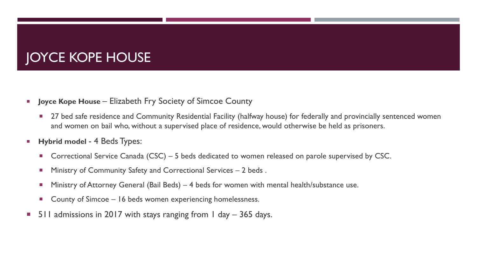# JOYCE KOPE HOUSE

- **Joyce Kope House Elizabeth Fry Society of Simcoe County** 
	- 27 bed safe residence and Community Residential Facility (halfway house) for federally and provincially sentenced women and women on bail who, without a supervised place of residence, would otherwise be held as prisoners.
- **Hybrid model 4 Beds Types:** 
	- Correctional Service Canada (CSC) 5 beds dedicated to women released on parole supervised by CSC.
	- **Ministry of Community Safety and Correctional Services 2 beds.**
	- Ministry of Attorney General (Bail Beds) 4 beds for women with mental health/substance use.
	- County of Simcoe 16 beds women experiencing homelessness.
- **511 admissions in 2017 with stays ranging from 1 day 365 days.**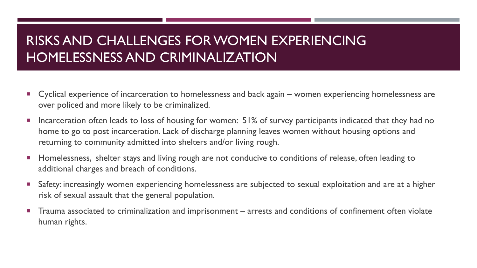## RISKS AND CHALLENGES FOR WOMEN EXPERIENCING HOMELESSNESS AND CRIMINALIZATION

- Cyclical experience of incarceration to homelessness and back again women experiencing homelessness are over policed and more likely to be criminalized.
- **Incarceration often leads to loss of housing for women: 51% of survey participants indicated that they had no** home to go to post incarceration. Lack of discharge planning leaves women without housing options and returning to community admitted into shelters and/or living rough.
- **Homelessness, shelter stays and living rough are not conducive to conditions of release, often leading to** additional charges and breach of conditions.
- Safety: increasingly women experiencing homelessness are subjected to sexual exploitation and are at a higher risk of sexual assault that the general population.
- Trauma associated to criminalization and imprisonment arrests and conditions of confinement often violate human rights.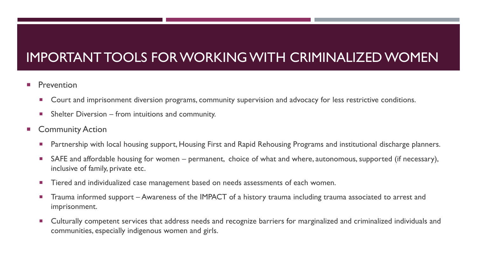# IMPORTANT TOOLS FOR WORKING WITH CRIMINALIZED WOMEN

- Prevention
	- Court and imprisonment diversion programs, community supervision and advocacy for less restrictive conditions.
	- $\blacksquare$  Shelter Diversion from intuitions and community.
- **E** Community Action
	- **Partnership with local housing support, Housing First and Rapid Rehousing Programs and institutional discharge planners.**
	- SAFE and affordable housing for women permanent, choice of what and where, autonomous, supported (if necessary), inclusive of family, private etc.
	- **Tiered and individualized case management based on needs assessments of each women.**
	- Trauma informed support Awareness of the IMPACT of a history trauma including trauma associated to arrest and imprisonment.
	- **Dubturally competent services that address needs and recognize barriers for marginalized and criminalized individuals and Cultural Cultural Cultural Cultural Cultural Cultural Cultural Cultural Cultural Cultural Cultural** communities, especially indigenous women and girls.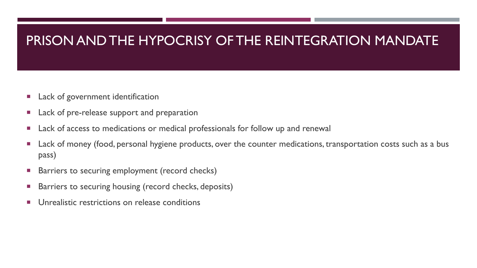#### PRISON AND THE HYPOCRISY OF THE REINTEGRATION MANDATE

- **Lack of government identification**
- Lack of pre-release support and preparation
- **Lack of access to medications or medical professionals for follow up and renewal**
- Lack of money (food, personal hygiene products, over the counter medications, transportation costs such as a bus pass)
- Barriers to securing employment (record checks)
- Barriers to securing housing (record checks, deposits)
- **Unrealistic restrictions on release conditions**